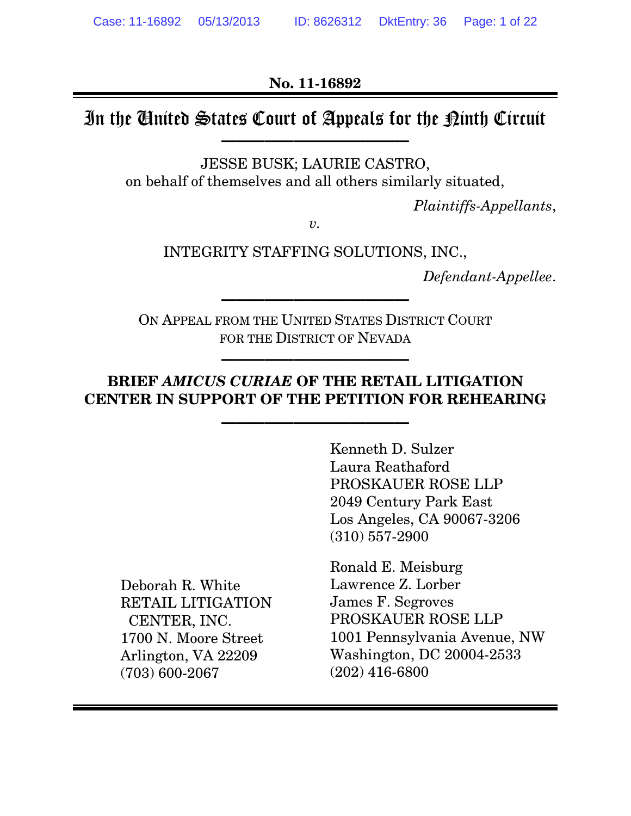**No. 11-16892**

# In the United States Court of Appeals for the Kinth Circuit

**—————————————**

JESSE BUSK; LAURIE CASTRO, on behalf of themselves and all others similarly situated,

*Plaintiffs-Appellants*,

*v.*

### INTEGRITY STAFFING SOLUTIONS, INC.,

*Defendant-Appellee*.

ON APPEAL FROM THE UNITED STATES DISTRICT COURT FOR THE DISTRICT OF NEVADA

**—————————————**

**—————————————**

## **BRIEF** *AMICUS CURIAE* **OF THE RETAIL LITIGATION CENTER IN SUPPORT OF THE PETITION FOR REHEARING**

**—————————————**

Kenneth D. Sulzer Laura Reathaford PROSKAUER ROSE LLP 2049 Century Park East Los Angeles, CA 90067-3206 (310) 557-2900

Deborah R. White RETAIL LITIGATION CENTER, INC. 1700 N. Moore Street Arlington, VA 22209 (703) 600-2067

Ronald E. Meisburg Lawrence Z. Lorber James F. Segroves PROSKAUER ROSE LLP 1001 Pennsylvania Avenue, NW Washington, DC 20004-2533 (202) 416-6800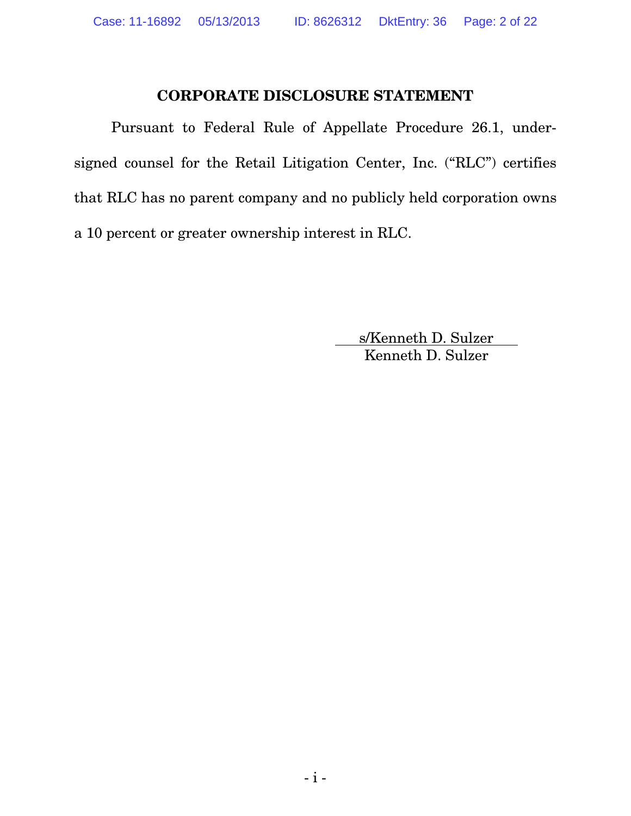### **CORPORATE DISCLOSURE STATEMENT**

Pursuant to Federal Rule of Appellate Procedure 26.1, undersigned counsel for the Retail Litigation Center, Inc. ("RLC") certifies that RLC has no parent company and no publicly held corporation owns a 10 percent or greater ownership interest in RLC.

> s/Kenneth D. Sulzer Kenneth D. Sulzer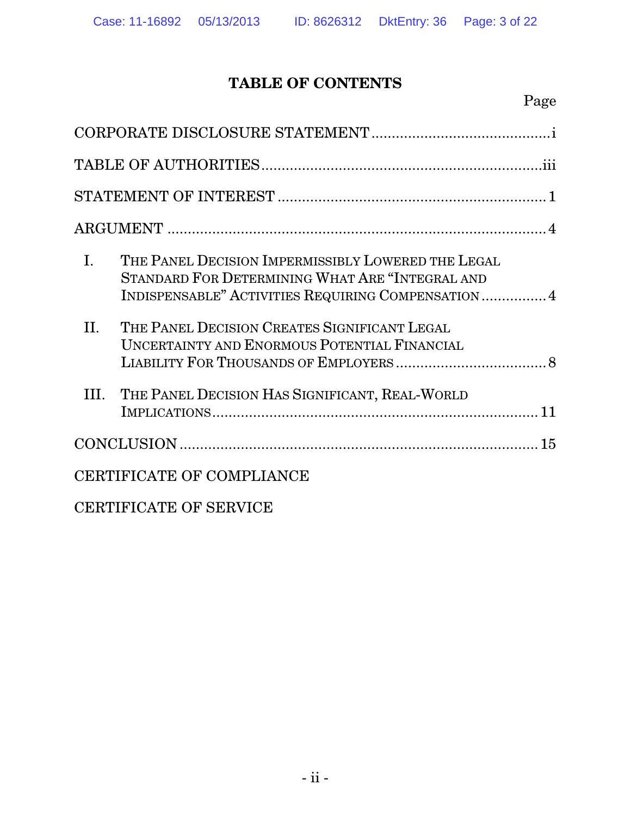# **TABLE OF CONTENTS**

| $\mathbf{I}$ . | THE PANEL DECISION IMPERMISSIBLY LOWERED THE LEGAL<br>STANDARD FOR DETERMINING WHAT ARE "INTEGRAL AND<br>INDISPENSABLE" ACTIVITIES REQUIRING COMPENSATION  4 |
|----------------|--------------------------------------------------------------------------------------------------------------------------------------------------------------|
| II.            | THE PANEL DECISION CREATES SIGNIFICANT LEGAL<br>UNCERTAINTY AND ENORMOUS POTENTIAL FINANCIAL                                                                 |
| III.           | THE PANEL DECISION HAS SIGNIFICANT, REAL-WORLD                                                                                                               |
|                |                                                                                                                                                              |
|                | CERTIFICATE OF COMPLIANCE                                                                                                                                    |
|                | <b>CERTIFICATE OF SERVICE</b>                                                                                                                                |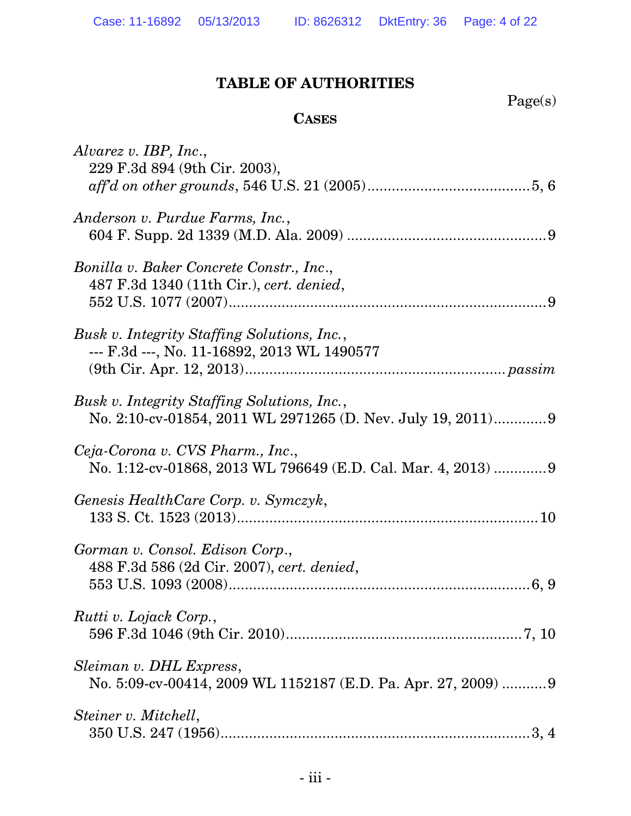# **TABLE OF AUTHORITIES**

Page(s)

## **CASES**

| Alvarez v. IBP, Inc.,<br>229 F.3d 894 (9th Cir. 2003),                                                    |
|-----------------------------------------------------------------------------------------------------------|
| Anderson v. Purdue Farms, Inc.,                                                                           |
| Bonilla v. Baker Concrete Constr., Inc.,<br>487 F.3d 1340 (11th Cir.), cert. denied,                      |
| Busk v. Integrity Staffing Solutions, Inc.,<br>--- F.3d ---, No. 11-16892, 2013 WL 1490577                |
| Busk v. Integrity Staffing Solutions, Inc.,<br>No. 2:10-cv-01854, 2011 WL 2971265 (D. Nev. July 19, 2011) |
| Ceja-Corona v. CVS Pharm., Inc.,<br>No. 1:12-cv-01868, 2013 WL 796649 (E.D. Cal. Mar. 4, 2013) 9          |
| Genesis HealthCare Corp. v. Symczyk,                                                                      |
| Gorman v. Consol. Edison Corp.,<br>488 F.3d 586 (2d Cir. 2007), cert. denied,                             |
| Rutti v. Lojack Corp.,                                                                                    |
| Sleiman v. DHL Express,<br>No. 5:09-cv-00414, 2009 WL 1152187 (E.D. Pa. Apr. 27, 2009)  9                 |
| Steiner v. Mitchell,                                                                                      |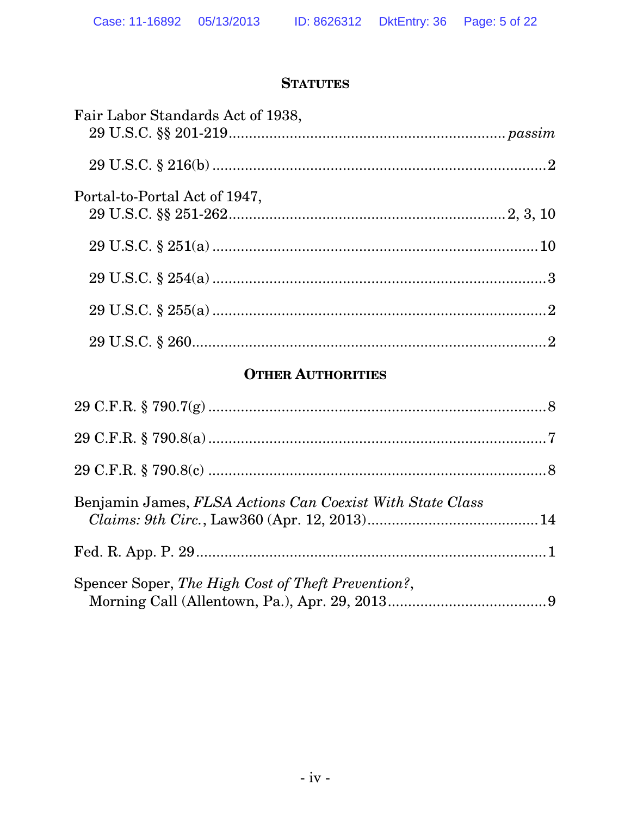## **STATUTES**

| Fair Labor Standards Act of 1938, |  |
|-----------------------------------|--|
|                                   |  |
| Portal-to-Portal Act of 1947,     |  |
|                                   |  |
|                                   |  |
|                                   |  |
|                                   |  |

## **OTHER AUTHORITIES**

| Benjamin James, FLSA Actions Can Coexist With State Class |  |
|-----------------------------------------------------------|--|
|                                                           |  |
| Spencer Soper, The High Cost of Theft Prevention?,        |  |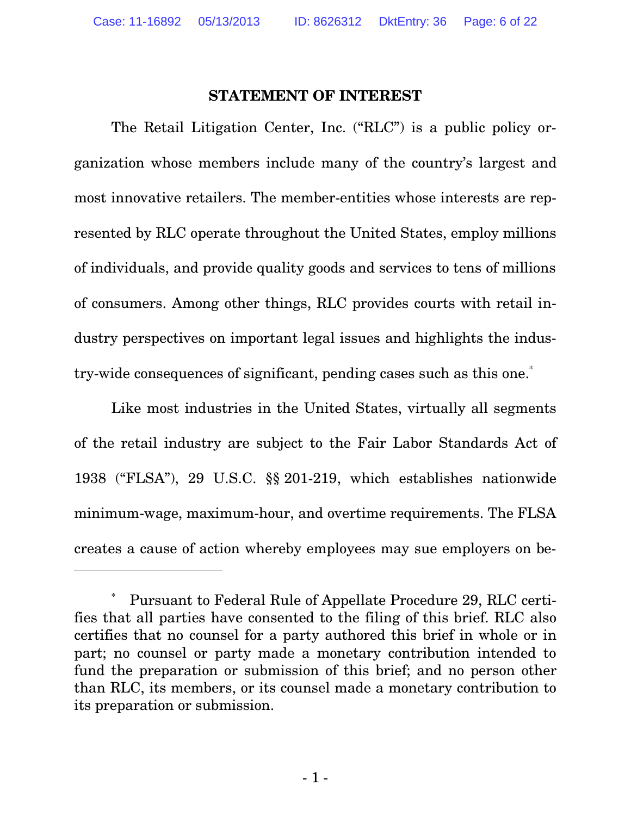#### **STATEMENT OF INTEREST**

The Retail Litigation Center, Inc. ("RLC") is a public policy organization whose members include many of the country's largest and most innovative retailers. The member-entities whose interests are represented by RLC operate throughout the United States, employ millions of individuals, and provide quality goods and services to tens of millions of consumers. Among other things, RLC provides courts with retail industry perspectives on important legal issues and highlights the industry-wide consequences of significant, pending cases such as this one.<sup>\*</sup>

Like most industries in the United States, virtually all segments of the retail industry are subject to the Fair Labor Standards Act of 1938 ("FLSA"), 29 U.S.C. §§ 201-219, which establishes nationwide minimum-wage, maximum-hour, and overtime requirements. The FLSA creates a cause of action whereby employees may sue employers on be-

-

Pursuant to Federal Rule of Appellate Procedure 29, RLC certifies that all parties have consented to the filing of this brief. RLC also certifies that no counsel for a party authored this brief in whole or in part; no counsel or party made a monetary contribution intended to fund the preparation or submission of this brief; and no person other than RLC, its members, or its counsel made a monetary contribution to its preparation or submission.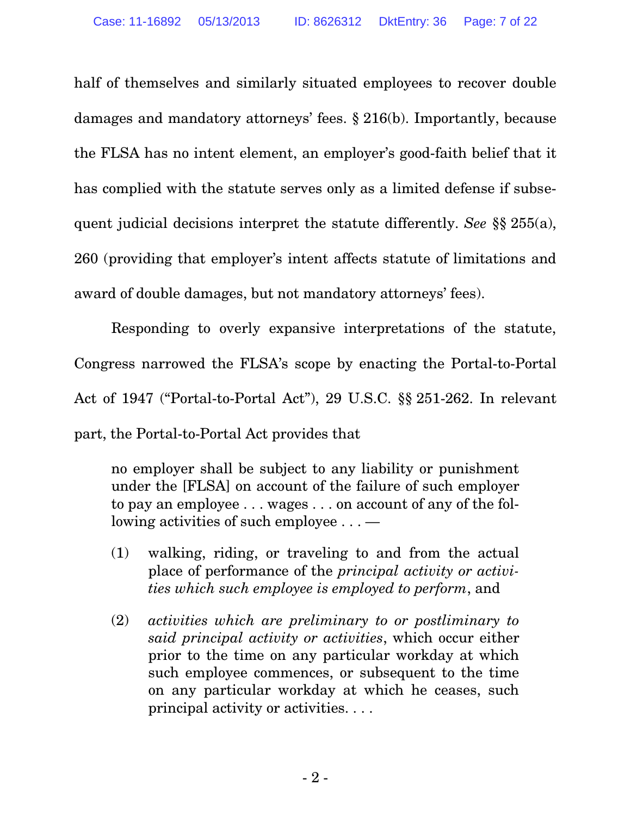half of themselves and similarly situated employees to recover double damages and mandatory attorneys' fees. § 216(b). Importantly, because the FLSA has no intent element, an employer's good-faith belief that it has complied with the statute serves only as a limited defense if subsequent judicial decisions interpret the statute differently. *See* §§ 255(a), 260 (providing that employer's intent affects statute of limitations and award of double damages, but not mandatory attorneys' fees).

Responding to overly expansive interpretations of the statute, Congress narrowed the FLSA's scope by enacting the Portal-to-Portal Act of 1947 ("Portal-to-Portal Act"), 29 U.S.C. §§ 251-262. In relevant part, the Portal-to-Portal Act provides that

no employer shall be subject to any liability or punishment under the [FLSA] on account of the failure of such employer to pay an employee . . . wages . . . on account of any of the following activities of such employee . . . —

- (1) walking, riding, or traveling to and from the actual place of performance of the *principal activity or activities which such employee is employed to perform*, and
- (2) *activities which are preliminary to or postliminary to said principal activity or activities*, which occur either prior to the time on any particular workday at which such employee commences, or subsequent to the time on any particular workday at which he ceases, such principal activity or activities. . . .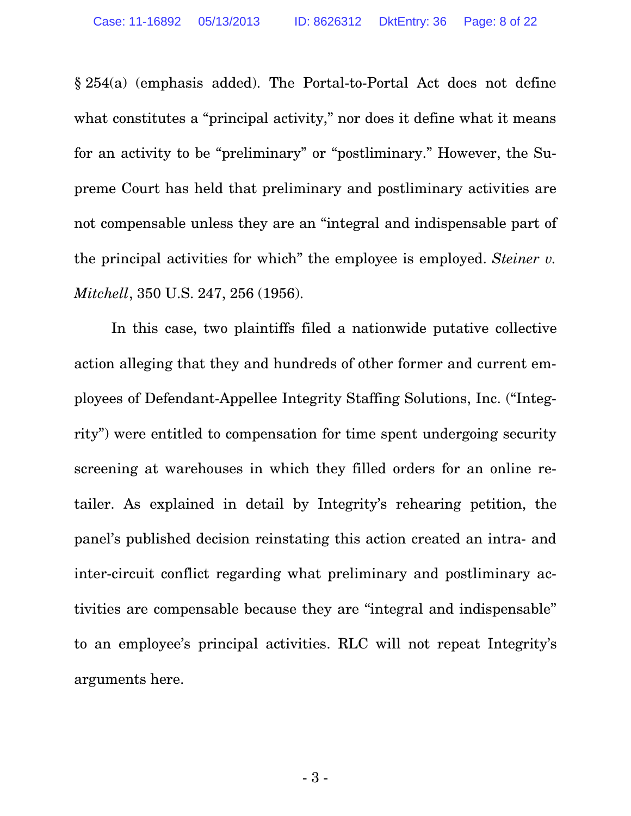§ 254(a) (emphasis added). The Portal-to-Portal Act does not define what constitutes a "principal activity," nor does it define what it means for an activity to be "preliminary" or "postliminary." However, the Supreme Court has held that preliminary and postliminary activities are not compensable unless they are an "integral and indispensable part of the principal activities for which" the employee is employed. *Steiner v. Mitchell*, 350 U.S. 247, 256 (1956).

In this case, two plaintiffs filed a nationwide putative collective action alleging that they and hundreds of other former and current employees of Defendant-Appellee Integrity Staffing Solutions, Inc. ("Integrity") were entitled to compensation for time spent undergoing security screening at warehouses in which they filled orders for an online retailer. As explained in detail by Integrity's rehearing petition, the panel's published decision reinstating this action created an intra- and inter-circuit conflict regarding what preliminary and postliminary activities are compensable because they are "integral and indispensable" to an employee's principal activities. RLC will not repeat Integrity's arguments here.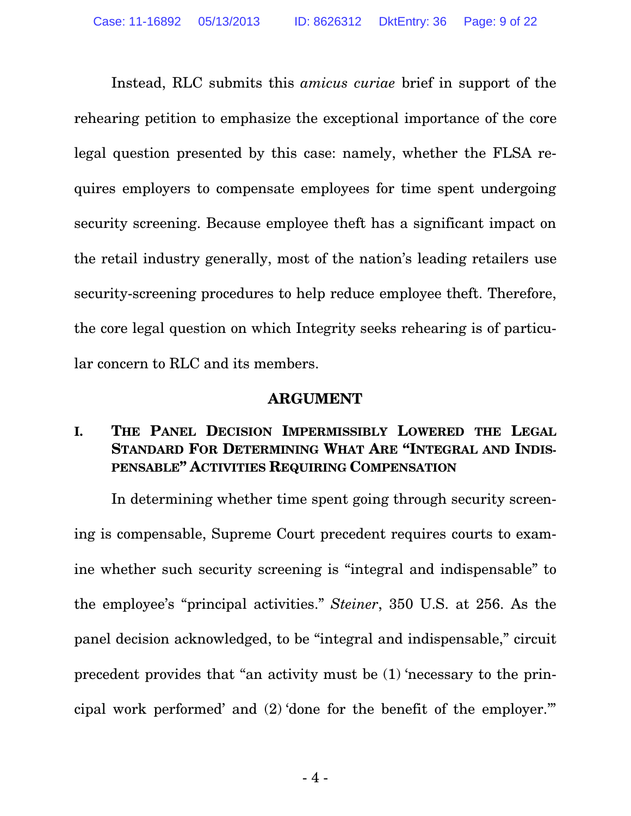Instead, RLC submits this *amicus curiae* brief in support of the rehearing petition to emphasize the exceptional importance of the core legal question presented by this case: namely, whether the FLSA requires employers to compensate employees for time spent undergoing security screening. Because employee theft has a significant impact on the retail industry generally, most of the nation's leading retailers use security-screening procedures to help reduce employee theft. Therefore, the core legal question on which Integrity seeks rehearing is of particular concern to RLC and its members.

#### **ARGUMENT**

## **I. THE PANEL DECISION IMPERMISSIBLY LOWERED THE LEGAL STANDARD FOR DETERMINING WHAT ARE "INTEGRAL AND INDIS-PENSABLE" ACTIVITIES REQUIRING COMPENSATION**

In determining whether time spent going through security screening is compensable, Supreme Court precedent requires courts to examine whether such security screening is "integral and indispensable" to the employee's "principal activities." *Steiner*, 350 U.S. at 256. As the panel decision acknowledged, to be "integral and indispensable," circuit precedent provides that "an activity must be (1) 'necessary to the principal work performed' and (2) 'done for the benefit of the employer.'"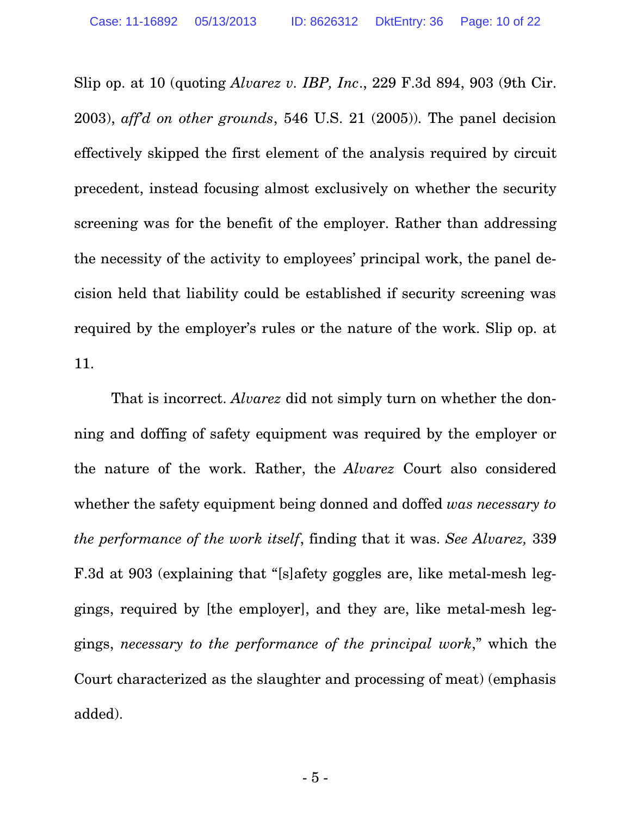Slip op. at 10 (quoting *Alvarez v. IBP, Inc*., 229 F.3d 894, 903 (9th Cir. 2003), *aff'd on other grounds*, 546 U.S. 21 (2005)). The panel decision effectively skipped the first element of the analysis required by circuit precedent, instead focusing almost exclusively on whether the security screening was for the benefit of the employer. Rather than addressing the necessity of the activity to employees' principal work, the panel decision held that liability could be established if security screening was required by the employer's rules or the nature of the work. Slip op. at 11.

That is incorrect. *Alvarez* did not simply turn on whether the donning and doffing of safety equipment was required by the employer or the nature of the work. Rather, the *Alvarez* Court also considered whether the safety equipment being donned and doffed *was necessary to the performance of the work itself*, finding that it was. *See Alvarez,* 339 F.3d at 903 (explaining that "[s]afety goggles are, like metal-mesh leggings, required by [the employer], and they are, like metal-mesh leggings, *necessary to the performance of the principal work*," which the Court characterized as the slaughter and processing of meat) (emphasis added).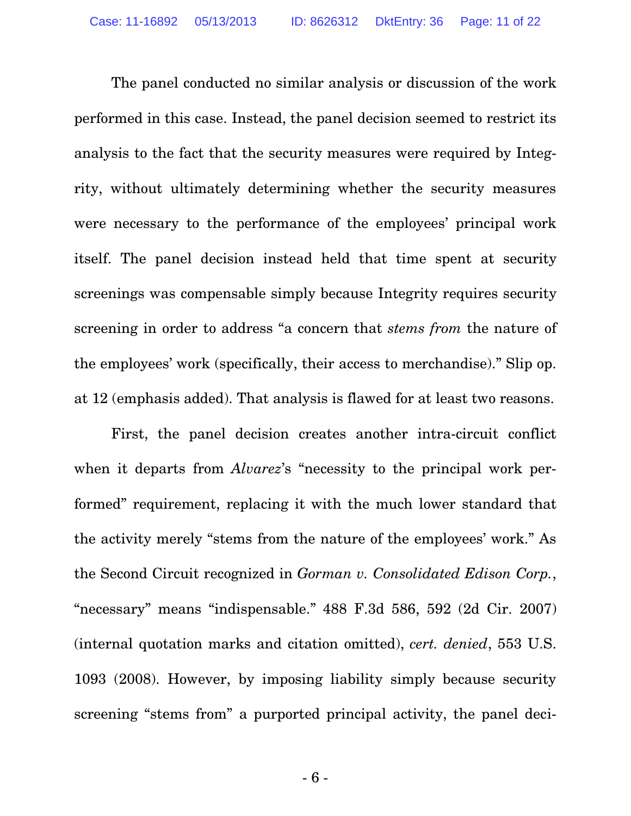The panel conducted no similar analysis or discussion of the work performed in this case. Instead, the panel decision seemed to restrict its analysis to the fact that the security measures were required by Integrity, without ultimately determining whether the security measures were necessary to the performance of the employees' principal work itself. The panel decision instead held that time spent at security screenings was compensable simply because Integrity requires security screening in order to address "a concern that *stems from* the nature of the employees' work (specifically, their access to merchandise)." Slip op. at 12 (emphasis added). That analysis is flawed for at least two reasons.

First, the panel decision creates another intra-circuit conflict when it departs from *Alvarez*'s "necessity to the principal work performed" requirement, replacing it with the much lower standard that the activity merely "stems from the nature of the employees' work." As the Second Circuit recognized in *Gorman v. Consolidated Edison Corp.*, "necessary" means "indispensable." 488 F.3d 586, 592 (2d Cir. 2007) (internal quotation marks and citation omitted), *cert. denied*, 553 U.S. 1093 (2008). However, by imposing liability simply because security screening "stems from" a purported principal activity, the panel deci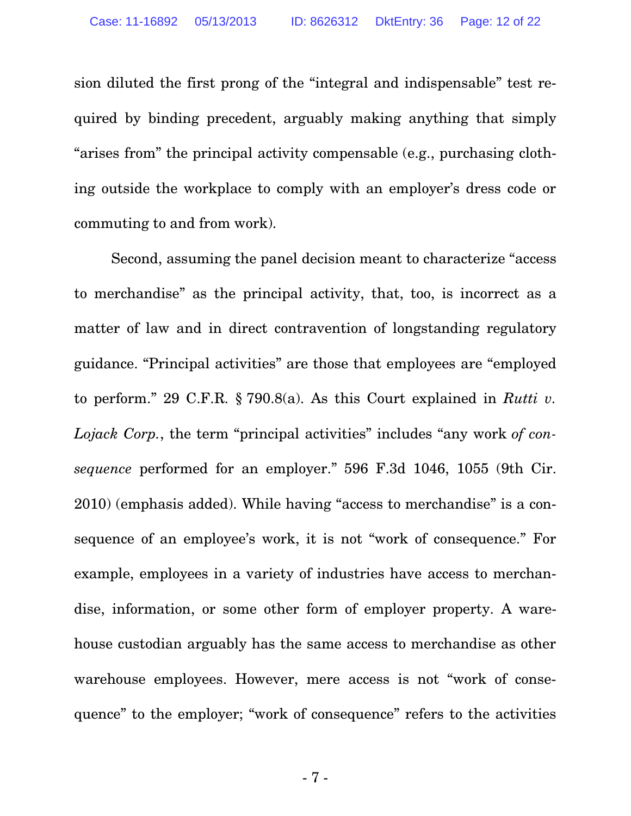sion diluted the first prong of the "integral and indispensable" test required by binding precedent, arguably making anything that simply "arises from" the principal activity compensable (e.g., purchasing clothing outside the workplace to comply with an employer's dress code or commuting to and from work).

Second, assuming the panel decision meant to characterize "access to merchandise" as the principal activity, that, too, is incorrect as a matter of law and in direct contravention of longstanding regulatory guidance. "Principal activities" are those that employees are "employed to perform." 29 C.F.R. § 790.8(a). As this Court explained in *Rutti v. Lojack Corp.*, the term "principal activities" includes "any work *of consequence* performed for an employer." 596 F.3d 1046, 1055 (9th Cir. 2010) (emphasis added). While having "access to merchandise" is a consequence of an employee's work, it is not "work of consequence." For example, employees in a variety of industries have access to merchandise, information, or some other form of employer property. A warehouse custodian arguably has the same access to merchandise as other warehouse employees. However, mere access is not "work of consequence" to the employer; "work of consequence" refers to the activities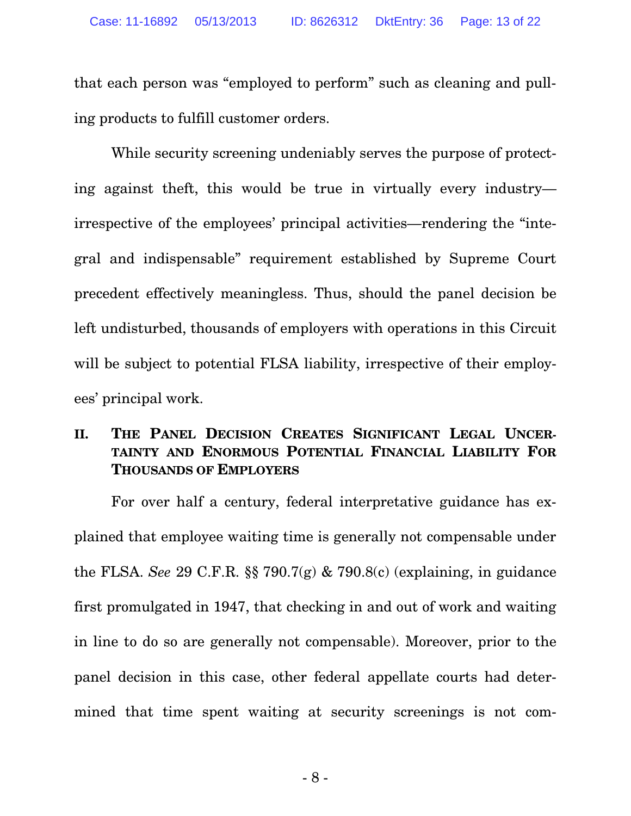that each person was "employed to perform" such as cleaning and pulling products to fulfill customer orders.

While security screening undeniably serves the purpose of protecting against theft, this would be true in virtually every industry irrespective of the employees' principal activities—rendering the "integral and indispensable" requirement established by Supreme Court precedent effectively meaningless. Thus, should the panel decision be left undisturbed, thousands of employers with operations in this Circuit will be subject to potential FLSA liability, irrespective of their employees' principal work.

## **II. THE PANEL DECISION CREATES SIGNIFICANT LEGAL UNCER-TAINTY AND ENORMOUS POTENTIAL FINANCIAL LIABILITY FOR THOUSANDS OF EMPLOYERS**

For over half a century, federal interpretative guidance has explained that employee waiting time is generally not compensable under the FLSA. *See* 29 C.F.R. §§ 790.7(g) & 790.8(c) (explaining, in guidance first promulgated in 1947, that checking in and out of work and waiting in line to do so are generally not compensable). Moreover, prior to the panel decision in this case, other federal appellate courts had determined that time spent waiting at security screenings is not com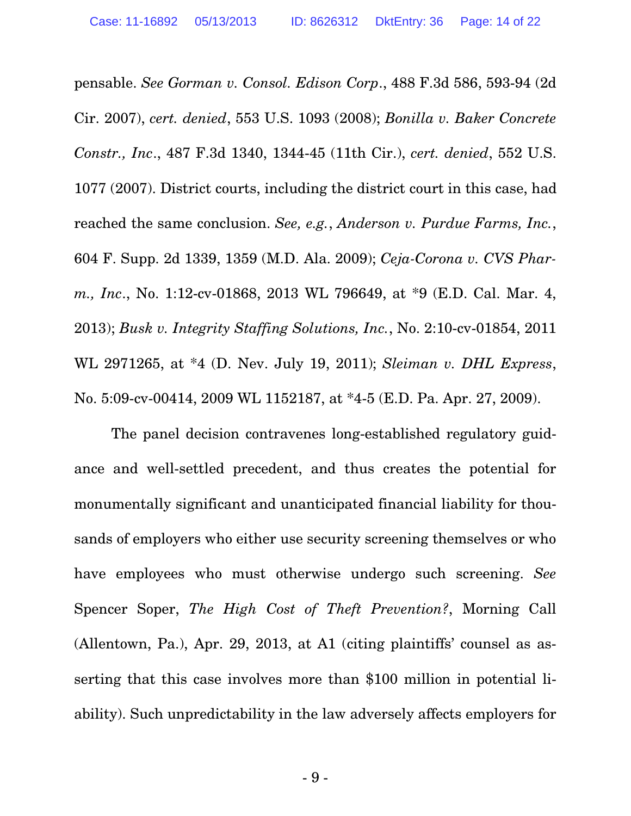pensable. *See Gorman v. Consol. Edison Corp*., 488 F.3d 586, 593-94 (2d Cir. 2007), *cert. denied*, 553 U.S. 1093 (2008); *Bonilla v. Baker Concrete Constr., Inc*., 487 F.3d 1340, 1344-45 (11th Cir.), *cert. denied*, 552 U.S. 1077 (2007). District courts, including the district court in this case, had reached the same conclusion. *See, e.g.*, *Anderson v. Purdue Farms, Inc.*, 604 F. Supp. 2d 1339, 1359 (M.D. Ala. 2009); *Ceja-Corona v. CVS Pharm., Inc*., No. 1:12-cv-01868, 2013 WL 796649, at \*9 (E.D. Cal. Mar. 4, 2013); *Busk v. Integrity Staffing Solutions, Inc.*, No. 2:10-cv-01854, 2011 WL 2971265, at \*4 (D. Nev. July 19, 2011); *Sleiman v. DHL Express*, No. 5:09-cv-00414, 2009 WL 1152187, at \*4-5 (E.D. Pa. Apr. 27, 2009).

The panel decision contravenes long-established regulatory guidance and well-settled precedent, and thus creates the potential for monumentally significant and unanticipated financial liability for thousands of employers who either use security screening themselves or who have employees who must otherwise undergo such screening. *See* Spencer Soper, *The High Cost of Theft Prevention?*, Morning Call (Allentown, Pa.), Apr. 29, 2013, at A1 (citing plaintiffs' counsel as asserting that this case involves more than \$100 million in potential liability). Such unpredictability in the law adversely affects employers for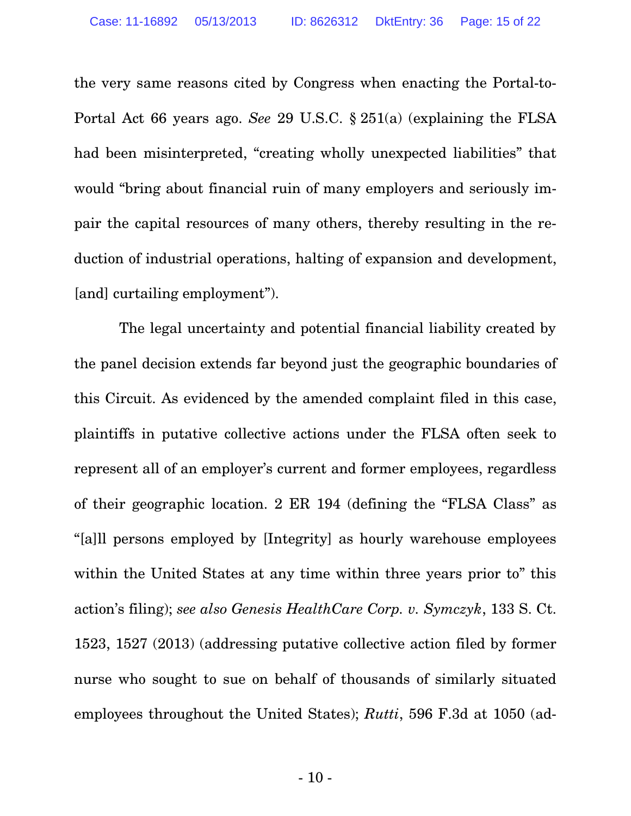the very same reasons cited by Congress when enacting the Portal-to-Portal Act 66 years ago. *See* 29 U.S.C. § 251(a) (explaining the FLSA had been misinterpreted, "creating wholly unexpected liabilities" that would "bring about financial ruin of many employers and seriously impair the capital resources of many others, thereby resulting in the reduction of industrial operations, halting of expansion and development, [and] curtailing employment").

 The legal uncertainty and potential financial liability created by the panel decision extends far beyond just the geographic boundaries of this Circuit. As evidenced by the amended complaint filed in this case, plaintiffs in putative collective actions under the FLSA often seek to represent all of an employer's current and former employees, regardless of their geographic location. 2 ER 194 (defining the "FLSA Class" as "[a]ll persons employed by [Integrity] as hourly warehouse employees within the United States at any time within three years prior to" this action's filing); *see also Genesis HealthCare Corp. v. Symczyk*, 133 S. Ct. 1523, 1527 (2013) (addressing putative collective action filed by former nurse who sought to sue on behalf of thousands of similarly situated employees throughout the United States); *Rutti*, 596 F.3d at 1050 (ad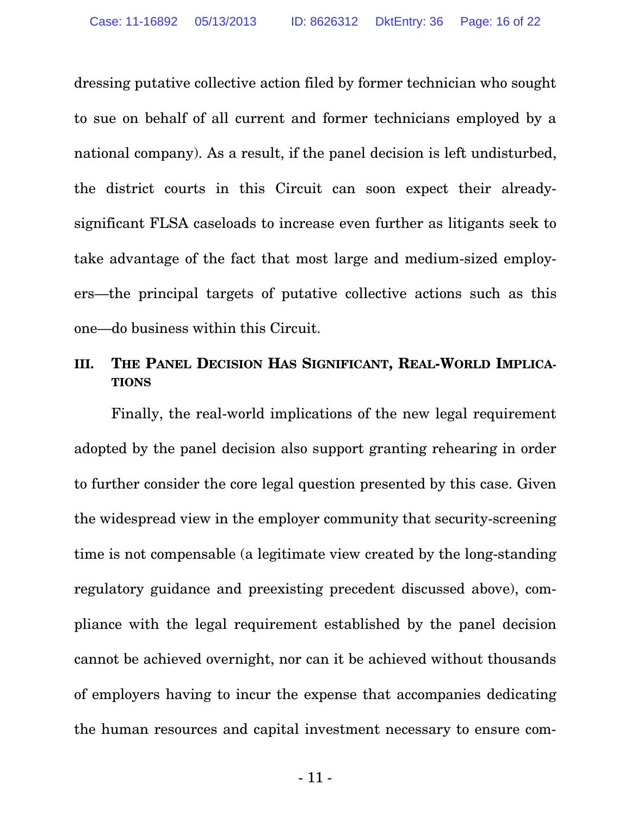dressing putative collective action filed by former technician who sought to sue on behalf of all current and former technicians employed by a national company). As a result, if the panel decision is left undisturbed, the district courts in this Circuit can soon expect their alreadysignificant FLSA caseloads to increase even further as litigants seek to take advantage of the fact that most large and medium-sized employers—the principal targets of putative collective actions such as this one—do business within this Circuit.

### **III. THE PANEL DECISION HAS SIGNIFICANT, REAL-WORLD IMPLICA-TIONS**

Finally, the real-world implications of the new legal requirement adopted by the panel decision also support granting rehearing in order to further consider the core legal question presented by this case. Given the widespread view in the employer community that security-screening time is not compensable (a legitimate view created by the long-standing regulatory guidance and preexisting precedent discussed above), compliance with the legal requirement established by the panel decision cannot be achieved overnight, nor can it be achieved without thousands of employers having to incur the expense that accompanies dedicating the human resources and capital investment necessary to ensure com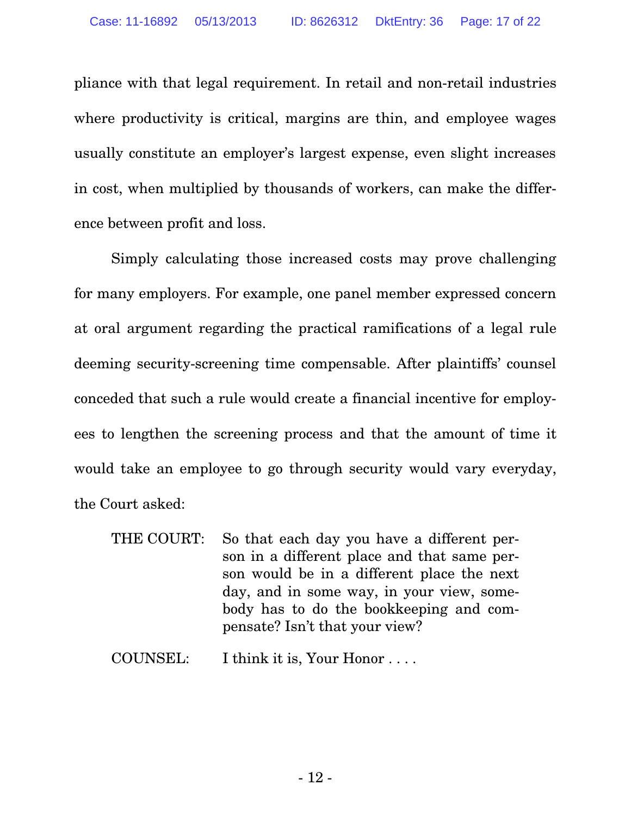pliance with that legal requirement. In retail and non-retail industries where productivity is critical, margins are thin, and employee wages usually constitute an employer's largest expense, even slight increases in cost, when multiplied by thousands of workers, can make the difference between profit and loss.

Simply calculating those increased costs may prove challenging for many employers. For example, one panel member expressed concern at oral argument regarding the practical ramifications of a legal rule deeming security-screening time compensable. After plaintiffs' counsel conceded that such a rule would create a financial incentive for employees to lengthen the screening process and that the amount of time it would take an employee to go through security would vary everyday, the Court asked:

THE COURT: So that each day you have a different person in a different place and that same person would be in a different place the next day, and in some way, in your view, somebody has to do the bookkeeping and compensate? Isn't that your view?

COUNSEL: I think it is, Your Honor . . . .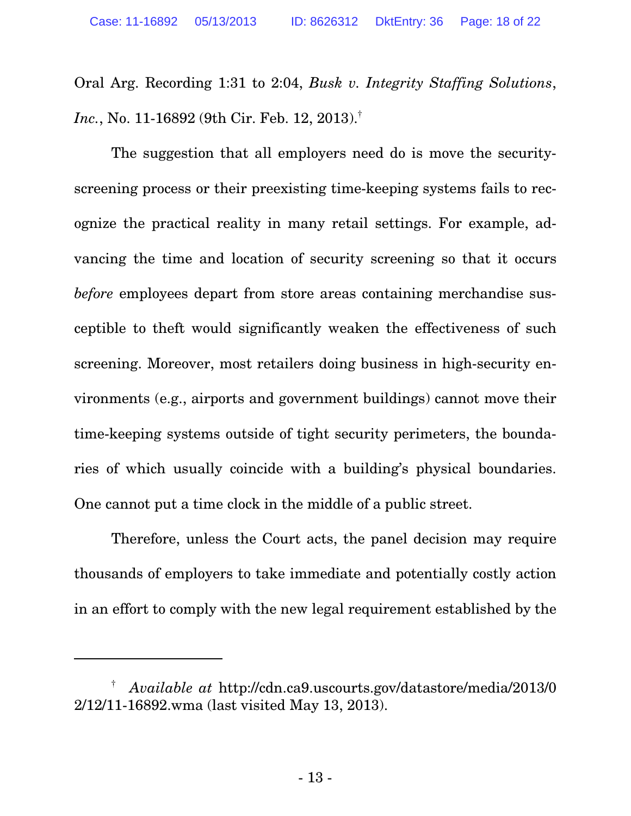Oral Arg. Recording 1:31 to 2:04, *Busk v. Integrity Staffing Solutions*, *Inc.*, No. 11-16892 (9th Cir. Feb. 12, 2013).†

The suggestion that all employers need do is move the securityscreening process or their preexisting time-keeping systems fails to recognize the practical reality in many retail settings. For example, advancing the time and location of security screening so that it occurs *before* employees depart from store areas containing merchandise susceptible to theft would significantly weaken the effectiveness of such screening. Moreover, most retailers doing business in high-security environments (e.g., airports and government buildings) cannot move their time-keeping systems outside of tight security perimeters, the boundaries of which usually coincide with a building's physical boundaries. One cannot put a time clock in the middle of a public street.

Therefore, unless the Court acts, the panel decision may require thousands of employers to take immediate and potentially costly action in an effort to comply with the new legal requirement established by the

-

<sup>†</sup> *Available at* [http://cdn.ca9.uscourts.gov/datastore/media/2013/0](http://cdn.ca9.uscourts.gov/datastore/media/2013/02/12/11-16892.wma) 2/12/11-16892.wma (last visited May 13, 2013).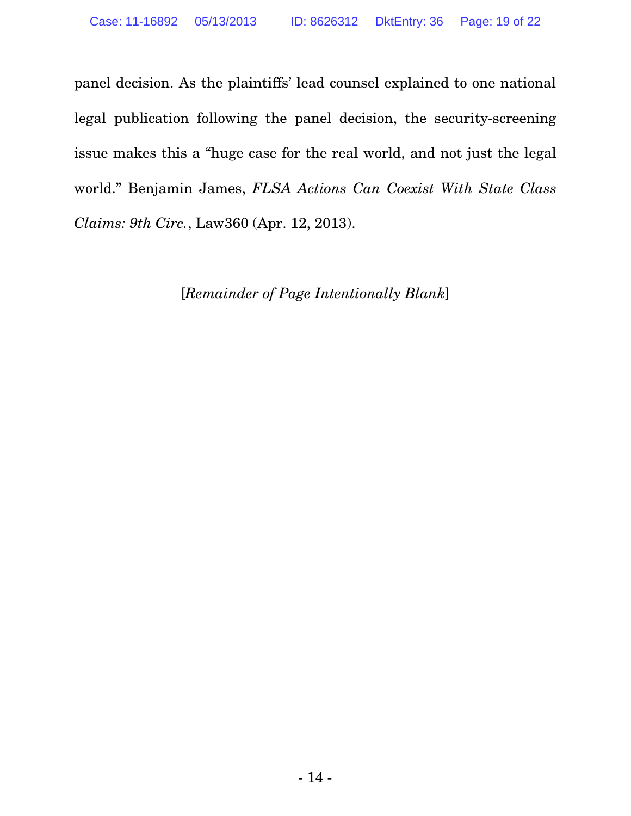panel decision. As the plaintiffs' lead counsel explained to one national legal publication following the panel decision, the security-screening issue makes this a "huge case for the real world, and not just the legal world." Benjamin James, *FLSA Actions Can Coexist With State Class Claims: 9th Circ.*, Law360 (Apr. 12, 2013).

[*Remainder of Page Intentionally Blank*]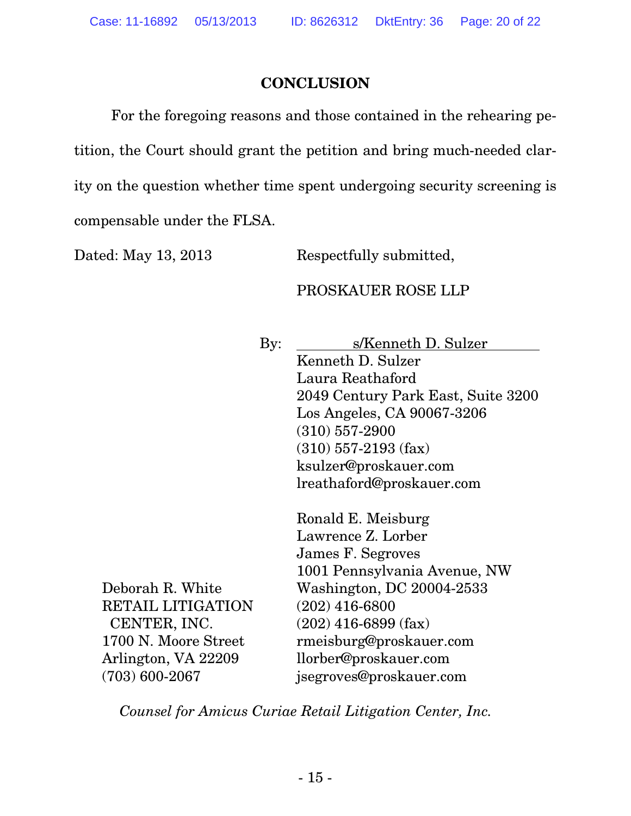### **CONCLUSION**

For the foregoing reasons and those contained in the rehearing petition, the Court should grant the petition and bring much-needed clarity on the question whether time spent undergoing security screening is compensable under the FLSA.

Dated: May 13, 2013 Respectfully submitted,

### PROSKAUER ROSE LLP

By: s/Kenneth D. Sulzer Kenneth D. Sulzer Laura Reathaford 2049 Century Park East, Suite 3200 Los Angeles, CA 90067-3206 (310) 557-2900 (310) 557-2193 (fax) ksulzer@proskauer.com lreathaford@proskauer.com

Deborah R. White RETAIL LITIGATION CENTER, INC. 1700 N. Moore Street Arlington, VA 22209 (703) 600-2067 Ronald E. Meisburg Lawrence Z. Lorber James F. Segroves 1001 Pennsylvania Avenue, NW Washington, DC 20004-2533 (202) 416-6800 (202) 416-6899 (fax) rmeisburg@proskauer.com llorber@proskauer.com jsegroves@proskauer.com

*Counsel for Amicus Curiae Retail Litigation Center, Inc.*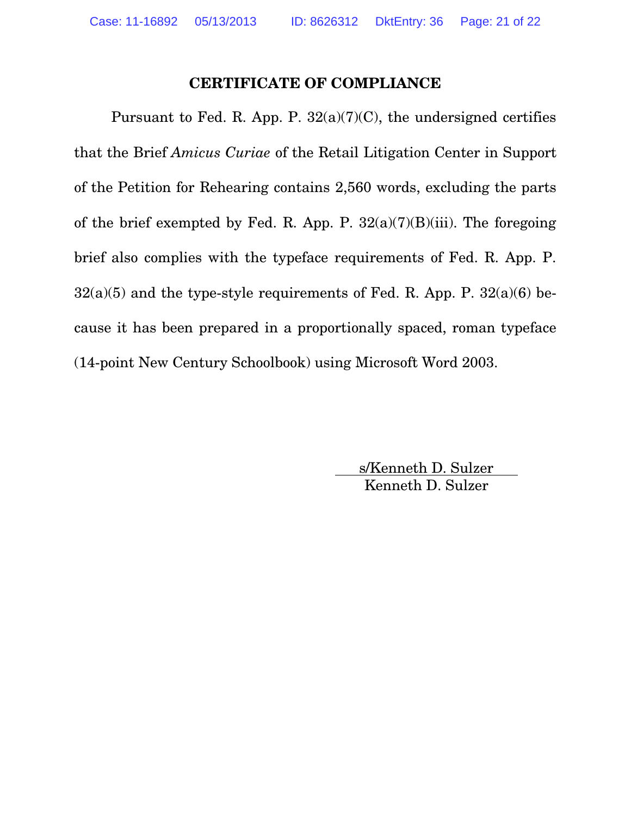### **CERTIFICATE OF COMPLIANCE**

Pursuant to Fed. R. App. P. 32(a)(7)(C), the undersigned certifies that the Brief *Amicus Curiae* of the Retail Litigation Center in Support of the Petition for Rehearing contains 2,560 words, excluding the parts of the brief exempted by Fed. R. App. P.  $32(a)(7)(B)(iii)$ . The foregoing brief also complies with the typeface requirements of Fed. R. App. P.  $32(a)(5)$  and the type-style requirements of Fed. R. App. P.  $32(a)(6)$  because it has been prepared in a proportionally spaced, roman typeface (14-point New Century Schoolbook) using Microsoft Word 2003.

> s/Kenneth D. Sulzer Kenneth D. Sulzer